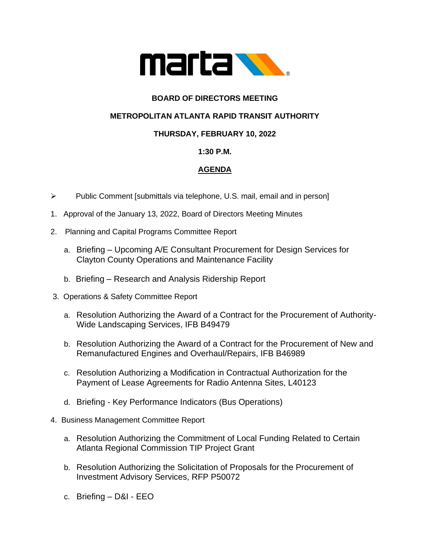

## **BOARD OF DIRECTORS MEETING**

## **METROPOLITAN ATLANTA RAPID TRANSIT AUTHORITY**

## **THURSDAY, FEBRUARY 10, 2022**

### **1:30 P.M.**

# **AGENDA**

- ➢ Public Comment [submittals via telephone, U.S. mail, email and in person]
- 1. Approval of the January 13, 2022, Board of Directors Meeting Minutes
- 2. Planning and Capital Programs Committee Report
	- a. Briefing Upcoming A/E Consultant Procurement for Design Services for Clayton County Operations and Maintenance Facility
	- b. Briefing Research and Analysis Ridership Report
- 3. Operations & Safety Committee Report
	- a. Resolution Authorizing the Award of a Contract for the Procurement of Authority-Wide Landscaping Services, IFB B49479
	- b. Resolution Authorizing the Award of a Contract for the Procurement of New and Remanufactured Engines and Overhaul/Repairs, IFB B46989
	- c. Resolution Authorizing a Modification in Contractual Authorization for the Payment of Lease Agreements for Radio Antenna Sites, L40123
	- d. Briefing Key Performance Indicators (Bus Operations)
- 4. Business Management Committee Report
	- a. Resolution Authorizing the Commitment of Local Funding Related to Certain Atlanta Regional Commission TIP Project Grant
	- b. Resolution Authorizing the Solicitation of Proposals for the Procurement of Investment Advisory Services, RFP P50072
	- c. Briefing D&I EEO